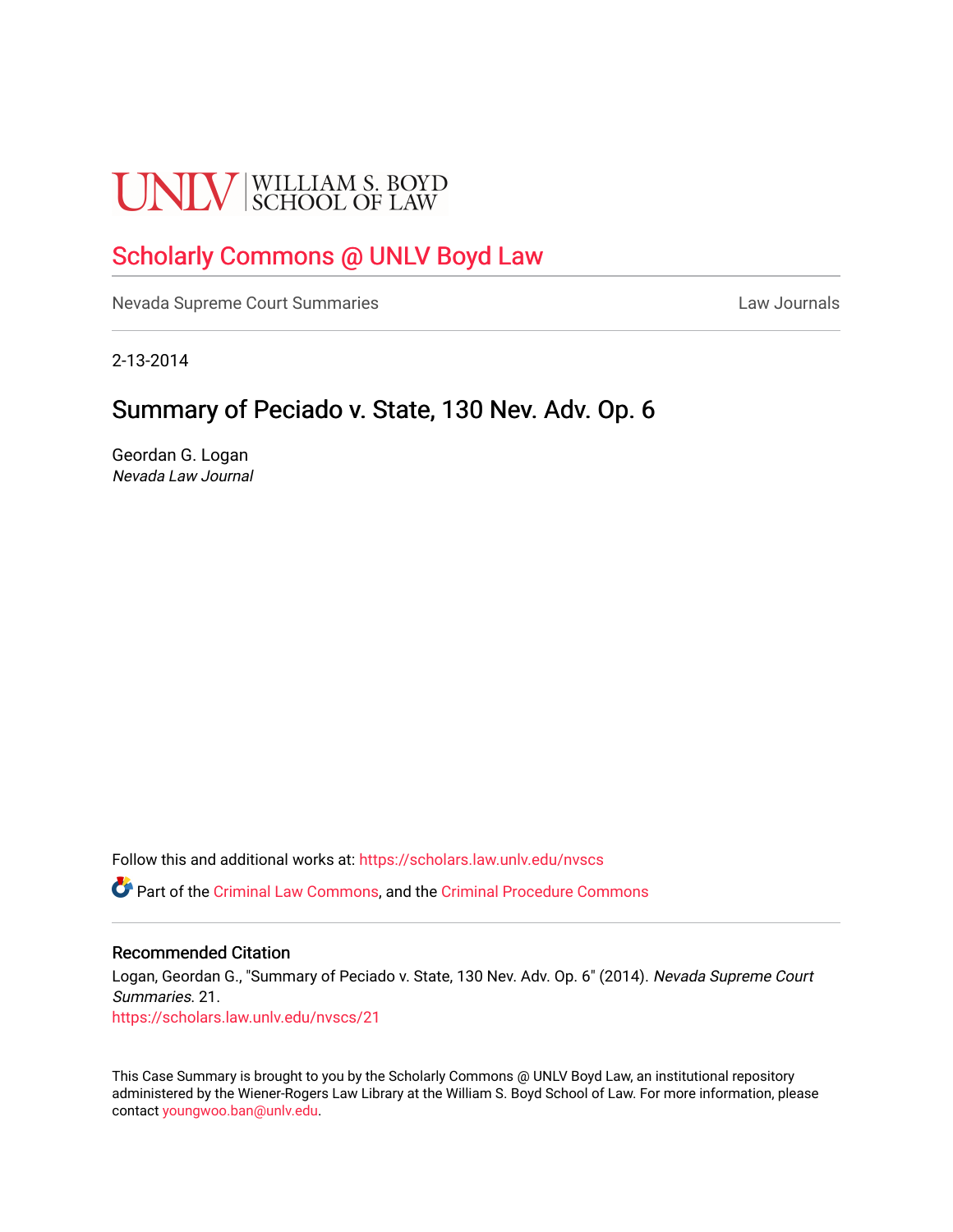# **UNLV** SCHOOL OF LAW

# [Scholarly Commons @ UNLV Boyd Law](https://scholars.law.unlv.edu/)

[Nevada Supreme Court Summaries](https://scholars.law.unlv.edu/nvscs) **Law Journals** Law Journals

2-13-2014

# Summary of Peciado v. State, 130 Nev. Adv. Op. 6

Geordan G. Logan Nevada Law Journal

Follow this and additional works at: [https://scholars.law.unlv.edu/nvscs](https://scholars.law.unlv.edu/nvscs?utm_source=scholars.law.unlv.edu%2Fnvscs%2F21&utm_medium=PDF&utm_campaign=PDFCoverPages)

Part of the [Criminal Law Commons,](http://network.bepress.com/hgg/discipline/912?utm_source=scholars.law.unlv.edu%2Fnvscs%2F21&utm_medium=PDF&utm_campaign=PDFCoverPages) and the [Criminal Procedure Commons](http://network.bepress.com/hgg/discipline/1073?utm_source=scholars.law.unlv.edu%2Fnvscs%2F21&utm_medium=PDF&utm_campaign=PDFCoverPages)

#### Recommended Citation

Logan, Geordan G., "Summary of Peciado v. State, 130 Nev. Adv. Op. 6" (2014). Nevada Supreme Court Summaries. 21. [https://scholars.law.unlv.edu/nvscs/21](https://scholars.law.unlv.edu/nvscs/21?utm_source=scholars.law.unlv.edu%2Fnvscs%2F21&utm_medium=PDF&utm_campaign=PDFCoverPages) 

This Case Summary is brought to you by the Scholarly Commons @ UNLV Boyd Law, an institutional repository administered by the Wiener-Rogers Law Library at the William S. Boyd School of Law. For more information, please contact [youngwoo.ban@unlv.edu](mailto:youngwoo.ban@unlv.edu).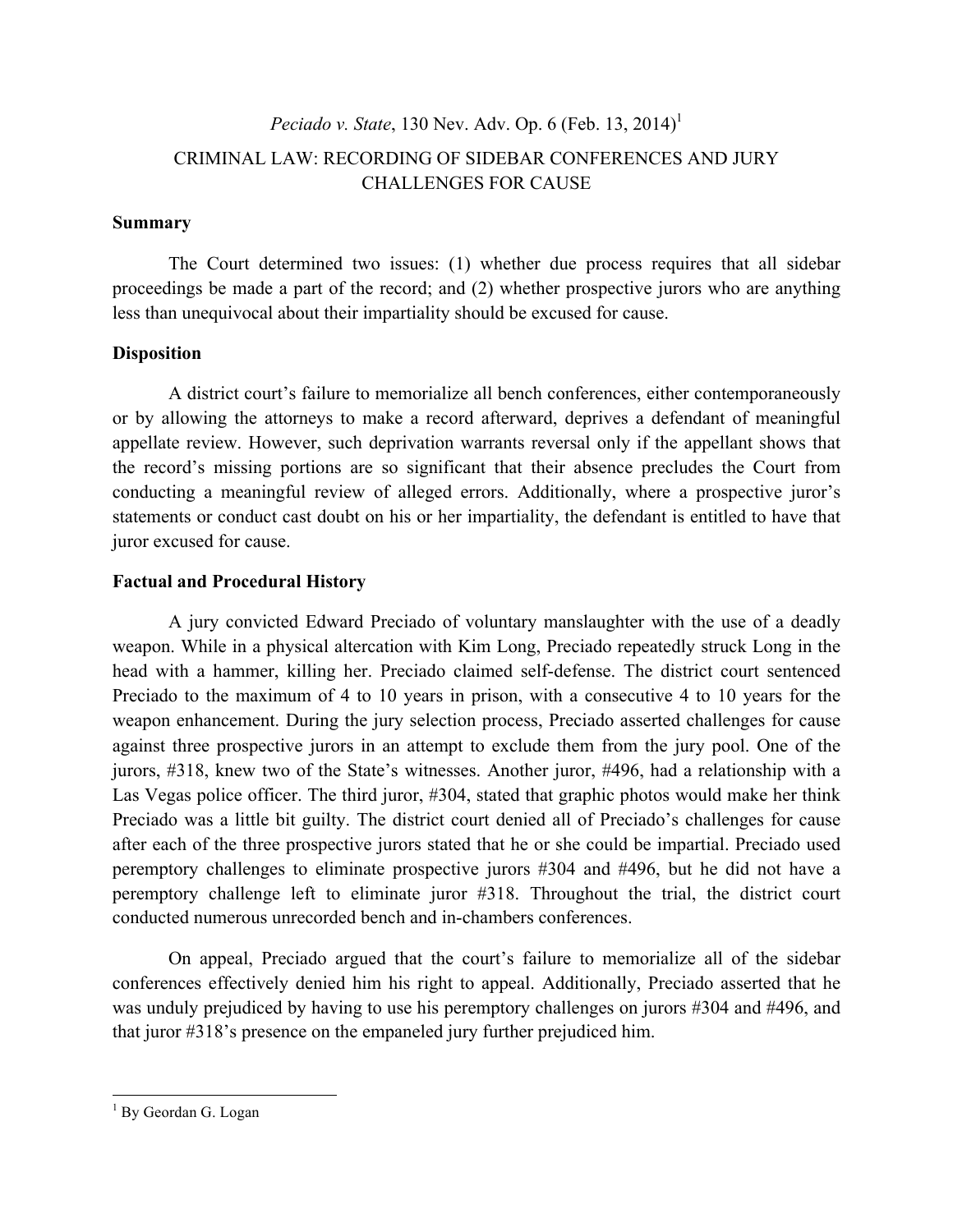# *Peciado v. State*, 130 Nev. Adv. Op. 6 (Feb. 13, 2014) 1 CRIMINAL LAW: RECORDING OF SIDEBAR CONFERENCES AND JURY CHALLENGES FOR CAUSE

## **Summary**

The Court determined two issues: (1) whether due process requires that all sidebar proceedings be made a part of the record; and (2) whether prospective jurors who are anything less than unequivocal about their impartiality should be excused for cause.

## **Disposition**

A district court's failure to memorialize all bench conferences, either contemporaneously or by allowing the attorneys to make a record afterward, deprives a defendant of meaningful appellate review. However, such deprivation warrants reversal only if the appellant shows that the record's missing portions are so significant that their absence precludes the Court from conducting a meaningful review of alleged errors. Additionally, where a prospective juror's statements or conduct cast doubt on his or her impartiality, the defendant is entitled to have that juror excused for cause.

## **Factual and Procedural History**

A jury convicted Edward Preciado of voluntary manslaughter with the use of a deadly weapon. While in a physical altercation with Kim Long, Preciado repeatedly struck Long in the head with a hammer, killing her. Preciado claimed self-defense. The district court sentenced Preciado to the maximum of 4 to 10 years in prison, with a consecutive 4 to 10 years for the weapon enhancement. During the jury selection process, Preciado asserted challenges for cause against three prospective jurors in an attempt to exclude them from the jury pool. One of the jurors, #318, knew two of the State's witnesses. Another juror, #496, had a relationship with a Las Vegas police officer. The third juror, #304, stated that graphic photos would make her think Preciado was a little bit guilty. The district court denied all of Preciado's challenges for cause after each of the three prospective jurors stated that he or she could be impartial. Preciado used peremptory challenges to eliminate prospective jurors #304 and #496, but he did not have a peremptory challenge left to eliminate juror #318. Throughout the trial, the district court conducted numerous unrecorded bench and in-chambers conferences.

On appeal, Preciado argued that the court's failure to memorialize all of the sidebar conferences effectively denied him his right to appeal. Additionally, Preciado asserted that he was unduly prejudiced by having to use his peremptory challenges on jurors #304 and #496, and that juror #318's presence on the empaneled jury further prejudiced him.

<sup>&</sup>lt;sup>1</sup> By Geordan G. Logan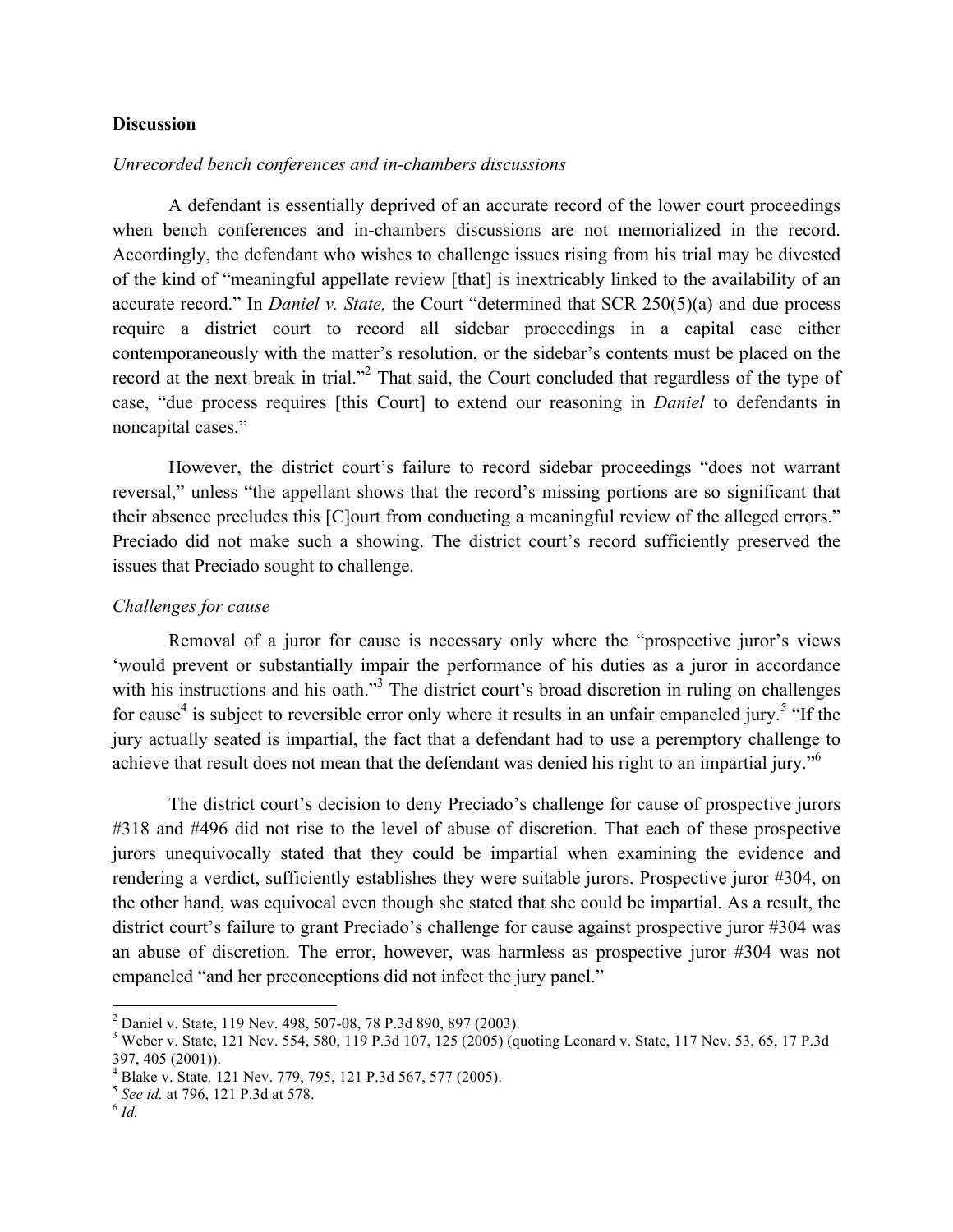#### **Discussion**

#### *Unrecorded bench conferences and in-chambers discussions*

A defendant is essentially deprived of an accurate record of the lower court proceedings when bench conferences and in-chambers discussions are not memorialized in the record. Accordingly, the defendant who wishes to challenge issues rising from his trial may be divested of the kind of "meaningful appellate review [that] is inextricably linked to the availability of an accurate record." In *Daniel v. State,* the Court "determined that SCR 250(5)(a) and due process require a district court to record all sidebar proceedings in a capital case either contemporaneously with the matter's resolution, or the sidebar's contents must be placed on the record at the next break in trial."<sup>2</sup> That said, the Court concluded that regardless of the type of case, "due process requires [this Court] to extend our reasoning in *Daniel* to defendants in noncapital cases."

However, the district court's failure to record sidebar proceedings "does not warrant reversal," unless "the appellant shows that the record's missing portions are so significant that their absence precludes this [C]ourt from conducting a meaningful review of the alleged errors." Preciado did not make such a showing. The district court's record sufficiently preserved the issues that Preciado sought to challenge.

#### *Challenges for cause*

Removal of a juror for cause is necessary only where the "prospective juror's views 'would prevent or substantially impair the performance of his duties as a juror in accordance with his instructions and his oath."<sup>3</sup> The district court's broad discretion in ruling on challenges for cause<sup>4</sup> is subject to reversible error only where it results in an unfair empaneled jury.<sup>5</sup> "If the jury actually seated is impartial, the fact that a defendant had to use a peremptory challenge to achieve that result does not mean that the defendant was denied his right to an impartial jury."<sup>6</sup>

The district court's decision to deny Preciado's challenge for cause of prospective jurors #318 and #496 did not rise to the level of abuse of discretion. That each of these prospective jurors unequivocally stated that they could be impartial when examining the evidence and rendering a verdict, sufficiently establishes they were suitable jurors. Prospective juror #304, on the other hand, was equivocal even though she stated that she could be impartial. As a result, the district court's failure to grant Preciado's challenge for cause against prospective juror #304 was an abuse of discretion. The error, however, was harmless as prospective juror #304 was not empaneled "and her preconceptions did not infect the jury panel."

 $^2$  Daniel v. State, 119 Nev. 498, 507-08, 78 P.3d 890, 897 (2003).<br><sup>3</sup> Weber v. State, 121 Nev. 554, 580, 119 P.3d 107, 125 (2005) (quoting Leonard v. State, 117 Nev. 53, 65, 17 P.3d 397, 405 (2001)).

<sup>4</sup> Blake v. State*,* <sup>121</sup> Nev. 779, 795, 121 P.3d 567, 577 (2005). <sup>5</sup> *See id.* at 796, 121 P.3d at 578. <sup>6</sup> *Id.*